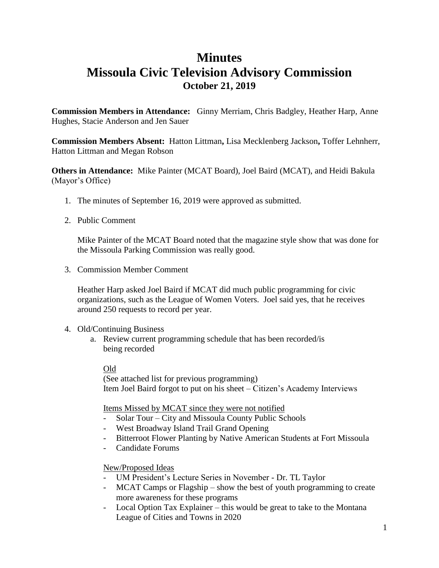## **Minutes Missoula Civic Television Advisory Commission October 21, 2019**

**Commission Members in Attendance:** Ginny Merriam, Chris Badgley, Heather Harp, Anne Hughes, Stacie Anderson and Jen Sauer

**Commission Members Absent:** Hatton Littman**,** Lisa Mecklenberg Jackson**,** Toffer Lehnherr, Hatton Littman and Megan Robson

**Others in Attendance:** Mike Painter (MCAT Board), Joel Baird (MCAT), and Heidi Bakula (Mayor's Office)

- 1. The minutes of September 16, 2019 were approved as submitted.
- 2. Public Comment

Mike Painter of the MCAT Board noted that the magazine style show that was done for the Missoula Parking Commission was really good.

3. Commission Member Comment

Heather Harp asked Joel Baird if MCAT did much public programming for civic organizations, such as the League of Women Voters. Joel said yes, that he receives around 250 requests to record per year.

- 4. Old/Continuing Business
	- a. Review current programming schedule that has been recorded/is being recorded

### Old

(See attached list for previous programming) Item Joel Baird forgot to put on his sheet – Citizen's Academy Interviews

### Items Missed by MCAT since they were not notified

- Solar Tour City and Missoula County Public Schools
- West Broadway Island Trail Grand Opening
- Bitterroot Flower Planting by Native American Students at Fort Missoula
- Candidate Forums

### New/Proposed Ideas

- UM President's Lecture Series in November Dr. TL Taylor
- MCAT Camps or Flagship show the best of youth programming to create more awareness for these programs
- Local Option Tax Explainer this would be great to take to the Montana League of Cities and Towns in 2020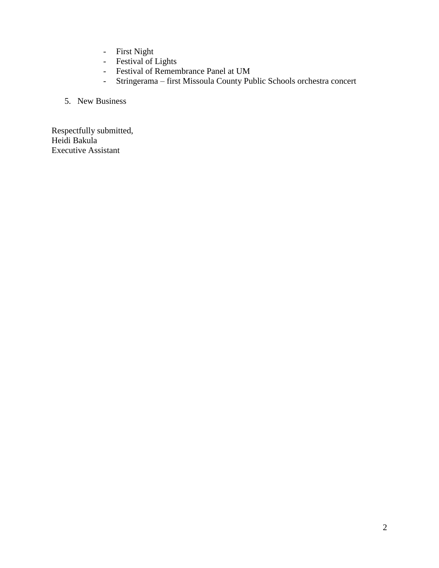- First Night
- Festival of Lights
- Festival of Remembrance Panel at UM
- Stringerama first Missoula County Public Schools orchestra concert

### 5. New Business

Respectfully submitted, Heidi Bakula Executive Assistant